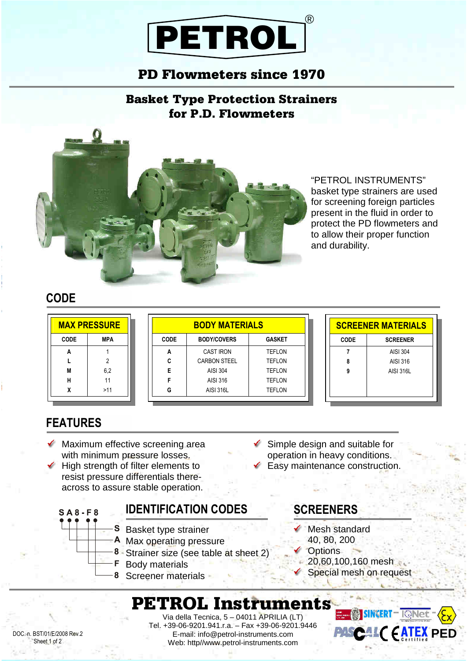# PETROL ®

### PD Flowmeters since 1970

Basket Type Protection Strainers for P.D. Flowmeters



"PETROL INSTRUMENTS" basket type strainers are used for screening foreign particles present in the fluid in order to protect the PD flowmeters and to allow their proper function and durability.

#### **CODE**

| <b>MAX PRESSURE</b> |            | <b>BODY MATERIALS</b> |                     |  |
|---------------------|------------|-----------------------|---------------------|--|
| <b>CODE</b>         | <b>MPA</b> | <b>CODE</b>           | <b>BODY/COVERS</b>  |  |
| А                   |            | Α                     | <b>CAST IRON</b>    |  |
|                     | 2          | c                     | <b>CARBON STEEL</b> |  |
| M                   | 6,2        | Е                     | AISI 304            |  |
| н                   | 11         | F                     | AISI 316            |  |
|                     | >11        | G                     | <b>AISI 316L</b>    |  |

|             | <b>SCREENER MATERIALS</b> |  |  |  |  |
|-------------|---------------------------|--|--|--|--|
| <b>CODE</b> | <b>SCREENER</b>           |  |  |  |  |
|             | AISI 304                  |  |  |  |  |
| 8           | AISI 316                  |  |  |  |  |
| g           | AISI 316L                 |  |  |  |  |
|             |                           |  |  |  |  |
|             |                           |  |  |  |  |

### **FEATURES**

 $S A 8 - F 8$ 

- Maximum effective screening area with minimum pressure losses.
- High strength of filter elements to resist pressure differentials thereacross to assure stable operation.

#### **IDENTIFICATION CODES**

- **S** Basket type strainer
- A Max operating pressure
- 8 Strainer size (see table at sheet 2)
- F. Body materials
- 8 Screener materials

 $\checkmark$  Simple design and suitable for operation in heavy conditions. Easy maintenance construction.

**GASKET** 

TEFLON TEFLON TEFLON TEFLON TEFLON

### **SCREENERS**

- Mesh standard
- 40, 80, 200
- Options
	- 20,60,100,160 mesh Special mesh on request

# PETROL Instruments

DOC. n. BST/01/E/2008 Rev.2 Sheet 1 of 2

Via della Tecnica, 5 – 04011 APRILIA (LT) Tel. +39-06-9201.941.r.a. – Fax +39-06-9201.9446 E-mail: info@petrol-instruments.com Web: http//www.petrol-instruments.com